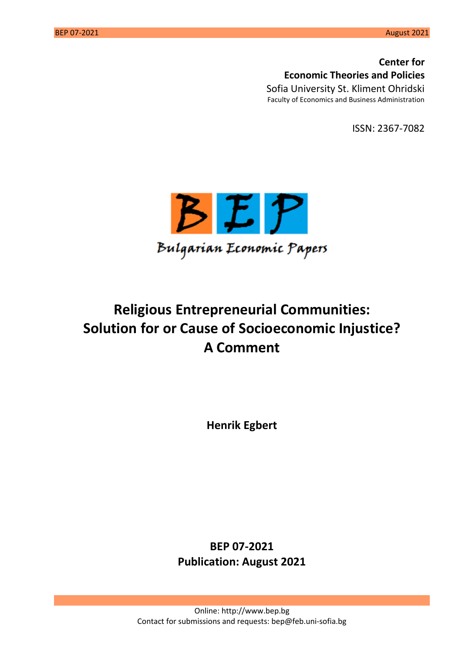**Center for Economic Theories and Policies** Sofia University St. Kliment Ohridski Faculty of Economics and Business Administration

ISSN: 2367-7082



# **Religious Entrepreneurial Communities: Solution for or Cause of Socioeconomic Injustice? A Comment**

**Henrik Egbert**

**BEP 07-2021 Publication: August 2021**

Online: [http://www.bep.bg](http://www.bep.bg/) Contact for submissions and requests: bep@feb.uni-sofia.bg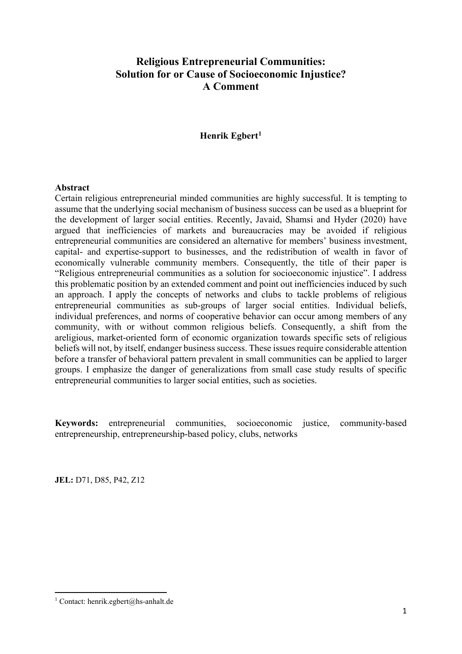# **Religious Entrepreneurial Communities: Solution for or Cause of Socioeconomic Injustice? A Comment**

### **Henrik Egbert[1](#page-1-0)**

#### **Abstract**

Certain religious entrepreneurial minded communities are highly successful. It is tempting to assume that the underlying social mechanism of business success can be used as a blueprint for the development of larger social entities. Recently, Javaid, Shamsi and Hyder (2020) have argued that inefficiencies of markets and bureaucracies may be avoided if religious entrepreneurial communities are considered an alternative for members' business investment, capital- and expertise-support to businesses, and the redistribution of wealth in favor of economically vulnerable community members. Consequently, the title of their paper is "Religious entrepreneurial communities as a solution for socioeconomic injustice". I address this problematic position by an extended comment and point out inefficiencies induced by such an approach. I apply the concepts of networks and clubs to tackle problems of religious entrepreneurial communities as sub-groups of larger social entities. Individual beliefs, individual preferences, and norms of cooperative behavior can occur among members of any community, with or without common religious beliefs. Consequently, a shift from the areligious, market-oriented form of economic organization towards specific sets of religious beliefs will not, by itself, endanger business success. These issues require considerable attention before a transfer of behavioral pattern prevalent in small communities can be applied to larger groups. I emphasize the danger of generalizations from small case study results of specific entrepreneurial communities to larger social entities, such as societies.

**Keywords:** entrepreneurial communities, socioeconomic justice, community-based entrepreneurship, entrepreneurship-based policy, clubs, networks

**JEL:** D71, D85, P42, Z12

 $\overline{a}$ 

<span id="page-1-0"></span><sup>&</sup>lt;sup>1</sup> Contact: henrik.egbert@hs-anhalt.de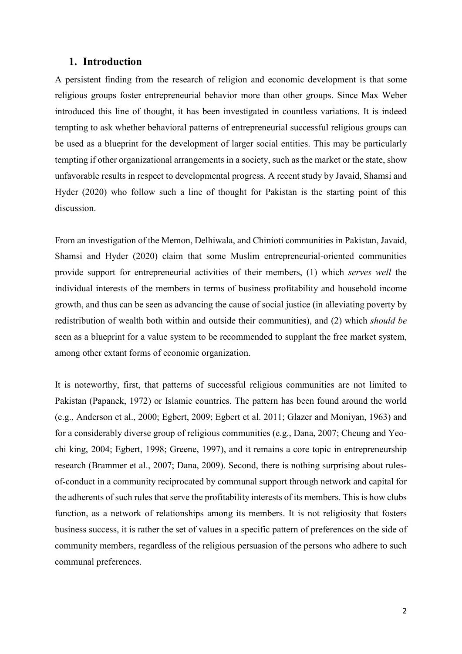#### **1. Introduction**

A persistent finding from the research of religion and economic development is that some religious groups foster entrepreneurial behavior more than other groups. Since Max Weber introduced this line of thought, it has been investigated in countless variations. It is indeed tempting to ask whether behavioral patterns of entrepreneurial successful religious groups can be used as a blueprint for the development of larger social entities. This may be particularly tempting if other organizational arrangements in a society, such as the market or the state, show unfavorable results in respect to developmental progress. A recent study by Javaid, Shamsi and Hyder (2020) who follow such a line of thought for Pakistan is the starting point of this discussion.

From an investigation of the Memon, Delhiwala, and Chinioti communities in Pakistan, Javaid, Shamsi and Hyder (2020) claim that some Muslim entrepreneurial-oriented communities provide support for entrepreneurial activities of their members, (1) which *serves well* the individual interests of the members in terms of business profitability and household income growth, and thus can be seen as advancing the cause of social justice (in alleviating poverty by redistribution of wealth both within and outside their communities), and (2) which *should be* seen as a blueprint for a value system to be recommended to supplant the free market system, among other extant forms of economic organization.

It is noteworthy, first, that patterns of successful religious communities are not limited to Pakistan (Papanek, 1972) or Islamic countries. The pattern has been found around the world (e.g., Anderson et al., 2000; Egbert, 2009; Egbert et al. 2011; Glazer and Moniyan, 1963) and for a considerably diverse group of religious communities (e.g., Dana, 2007; Cheung and Yeochi king, 2004; Egbert, 1998; Greene, 1997), and it remains a core topic in entrepreneurship research (Brammer et al., 2007; Dana, 2009). Second, there is nothing surprising about rulesof-conduct in a community reciprocated by communal support through network and capital for the adherents of such rules that serve the profitability interests of its members. This is how clubs function, as a network of relationships among its members. It is not religiosity that fosters business success, it is rather the set of values in a specific pattern of preferences on the side of community members, regardless of the religious persuasion of the persons who adhere to such communal preferences.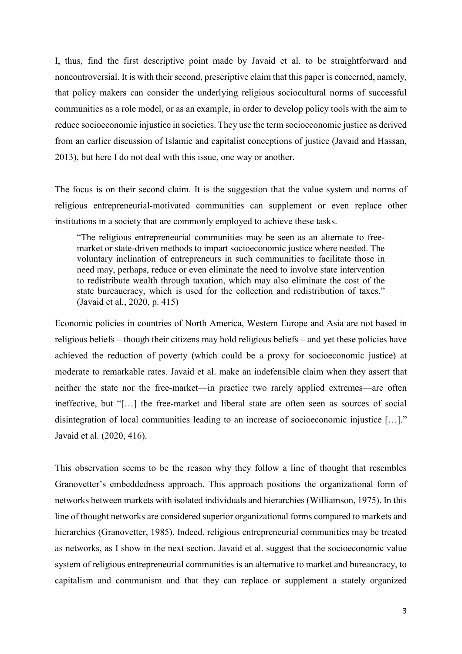I, thus, find the first descriptive point made by Javaid et al. to be straightforward and noncontroversial. It is with their second, prescriptive claim that this paper is concerned, namely, that policy makers can consider the underlying religious sociocultural norms of successful communities as a role model, or as an example, in order to develop policy tools with the aim to reduce socioeconomic injustice in societies. They use the term socioeconomic justice as derived from an earlier discussion of Islamic and capitalist conceptions of justice (Javaid and Hassan, 2013), but here I do not deal with this issue, one way or another.

The focus is on their second claim. It is the suggestion that the value system and norms of religious entrepreneurial-motivated communities can supplement or even replace other institutions in a society that are commonly employed to achieve these tasks.

"The religious entrepreneurial communities may be seen as an alternate to freemarket or state-driven methods to impart socioeconomic justice where needed. The voluntary inclination of entrepreneurs in such communities to facilitate those in need may, perhaps, reduce or even eliminate the need to involve state intervention to redistribute wealth through taxation, which may also eliminate the cost of the state bureaucracy, which is used for the collection and redistribution of taxes." (Javaid et al*.*, 2020, p. 415)

Economic policies in countries of North America, Western Europe and Asia are not based in religious beliefs – though their citizens may hold religious beliefs – and yet these policies have achieved the reduction of poverty (which could be a proxy for socioeconomic justice) at moderate to remarkable rates. Javaid et al. make an indefensible claim when they assert that neither the state nor the free-market—in practice two rarely applied extremes—are often ineffective, but "[…] the free-market and liberal state are often seen as sources of social disintegration of local communities leading to an increase of socioeconomic injustice […]." Javaid et al. (2020, 416).

This observation seems to be the reason why they follow a line of thought that resembles Granovetter's embeddedness approach. This approach positions the organizational form of networks between markets with isolated individuals and hierarchies (Williamson, 1975). In this line of thought networks are considered superior organizational forms compared to markets and hierarchies (Granovetter, 1985). Indeed, religious entrepreneurial communities may be treated as networks, as I show in the next section. Javaid et al. suggest that the socioeconomic value system of religious entrepreneurial communities is an alternative to market and bureaucracy, to capitalism and communism and that they can replace or supplement a stately organized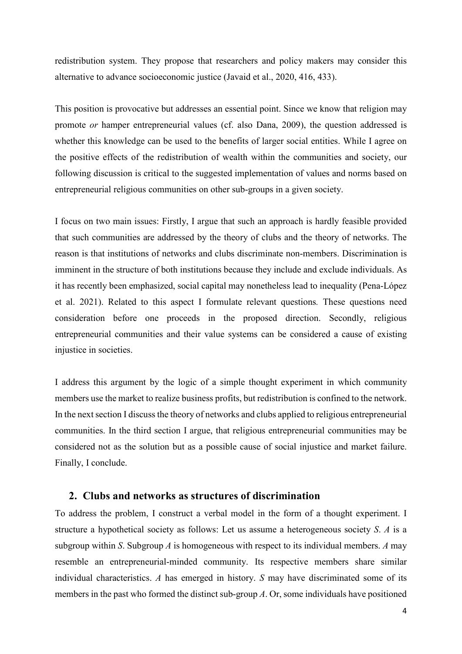redistribution system. They propose that researchers and policy makers may consider this alternative to advance socioeconomic justice (Javaid et al., 2020, 416, 433).

This position is provocative but addresses an essential point. Since we know that religion may promote *or* hamper entrepreneurial values (cf. also Dana, 2009), the question addressed is whether this knowledge can be used to the benefits of larger social entities. While I agree on the positive effects of the redistribution of wealth within the communities and society, our following discussion is critical to the suggested implementation of values and norms based on entrepreneurial religious communities on other sub-groups in a given society.

I focus on two main issues: Firstly, I argue that such an approach is hardly feasible provided that such communities are addressed by the theory of clubs and the theory of networks. The reason is that institutions of networks and clubs discriminate non-members. Discrimination is imminent in the structure of both institutions because they include and exclude individuals. As it has recently been emphasized, social capital may nonetheless lead to inequality (Pena-López et al. 2021). Related to this aspect I formulate relevant questions*.* These questions need consideration before one proceeds in the proposed direction. Secondly, religious entrepreneurial communities and their value systems can be considered a cause of existing injustice in societies.

I address this argument by the logic of a simple thought experiment in which community members use the market to realize business profits, but redistribution is confined to the network. In the next section I discuss the theory of networks and clubs applied to religious entrepreneurial communities. In the third section I argue, that religious entrepreneurial communities may be considered not as the solution but as a possible cause of social injustice and market failure. Finally, I conclude.

#### **2. Clubs and networks as structures of discrimination**

To address the problem, I construct a verbal model in the form of a thought experiment. I structure a hypothetical society as follows: Let us assume a heterogeneous society *S*. *A* is a subgroup within *S*. Subgroup *A* is homogeneous with respect to its individual members. *A* may resemble an entrepreneurial-minded community. Its respective members share similar individual characteristics. *A* has emerged in history. *S* may have discriminated some of its members in the past who formed the distinct sub-group *A*. Or, some individuals have positioned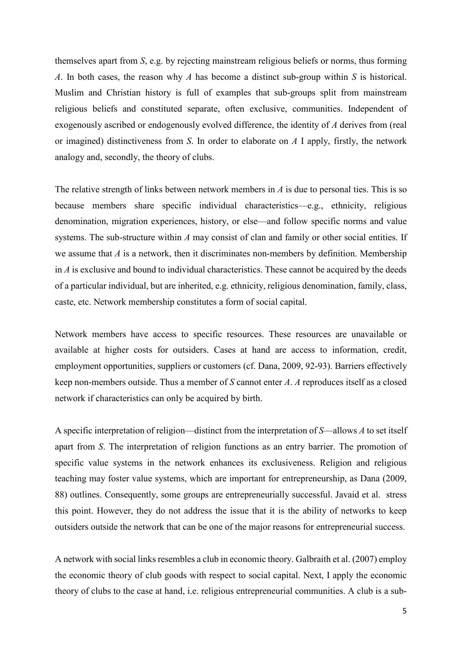themselves apart from *S*, e.g. by rejecting mainstream religious beliefs or norms, thus forming *A*. In both cases, the reason why *A* has become a distinct sub-group within *S* is historical. Muslim and Christian history is full of examples that sub-groups split from mainstream religious beliefs and constituted separate, often exclusive, communities. Independent of exogenously ascribed or endogenously evolved difference, the identity of *A* derives from (real or imagined) distinctiveness from *S*. In order to elaborate on *A* I apply, firstly, the network analogy and, secondly, the theory of clubs.

The relative strength of links between network members in  $\Lambda$  is due to personal ties. This is so because members share specific individual characteristics—e.g., ethnicity, religious denomination, migration experiences, history, or else—and follow specific norms and value systems. The sub-structure within *A* may consist of clan and family or other social entities. If we assume that *A* is a network, then it discriminates non-members by definition. Membership in *A* is exclusive and bound to individual characteristics. These cannot be acquired by the deeds of a particular individual, but are inherited, e.g. ethnicity, religious denomination, family, class, caste, etc. Network membership constitutes a form of social capital.

Network members have access to specific resources. These resources are unavailable or available at higher costs for outsiders. Cases at hand are access to information, credit, employment opportunities, suppliers or customers (cf. Dana, 2009, 92-93). Barriers effectively keep non-members outside. Thus a member of *S* cannot enter *A*. *A* reproduces itself as a closed network if characteristics can only be acquired by birth.

A specific interpretation of religion—distinct from the interpretation of *S*—allows *A* to set itself apart from *S*. The interpretation of religion functions as an entry barrier. The promotion of specific value systems in the network enhances its exclusiveness. Religion and religious teaching may foster value systems, which are important for entrepreneurship, as Dana (2009, 88) outlines. Consequently, some groups are entrepreneurially successful. Javaid et al. stress this point. However, they do not address the issue that it is the ability of networks to keep outsiders outside the network that can be one of the major reasons for entrepreneurial success.

A network with social links resembles a club in economic theory. Galbraith et al. (2007) employ the economic theory of club goods with respect to social capital. Next, I apply the economic theory of clubs to the case at hand, i.e. religious entrepreneurial communities. A club is a sub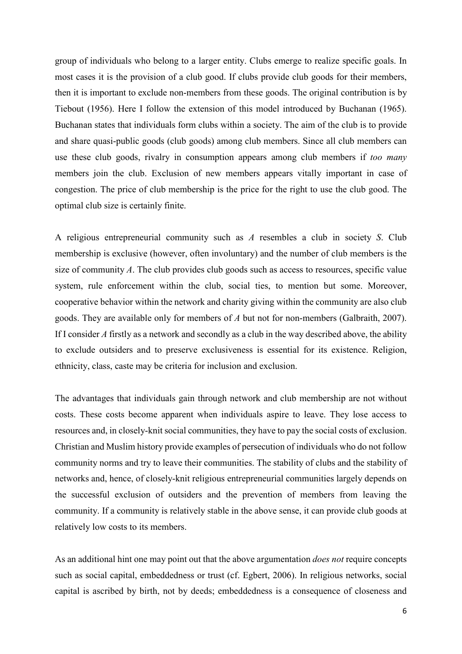group of individuals who belong to a larger entity. Clubs emerge to realize specific goals. In most cases it is the provision of a club good. If clubs provide club goods for their members, then it is important to exclude non-members from these goods. The original contribution is by Tiebout (1956). Here I follow the extension of this model introduced by Buchanan (1965). Buchanan states that individuals form clubs within a society. The aim of the club is to provide and share quasi-public goods (club goods) among club members. Since all club members can use these club goods, rivalry in consumption appears among club members if *too many* members join the club. Exclusion of new members appears vitally important in case of congestion. The price of club membership is the price for the right to use the club good. The optimal club size is certainly finite.

A religious entrepreneurial community such as *A* resembles a club in society *S*. Club membership is exclusive (however, often involuntary) and the number of club members is the size of community *A*. The club provides club goods such as access to resources, specific value system, rule enforcement within the club, social ties, to mention but some. Moreover, cooperative behavior within the network and charity giving within the community are also club goods. They are available only for members of *A* but not for non-members (Galbraith, 2007). If I consider A firstly as a network and secondly as a club in the way described above, the ability to exclude outsiders and to preserve exclusiveness is essential for its existence. Religion, ethnicity, class, caste may be criteria for inclusion and exclusion.

The advantages that individuals gain through network and club membership are not without costs. These costs become apparent when individuals aspire to leave. They lose access to resources and, in closely-knit social communities, they have to pay the social costs of exclusion. Christian and Muslim history provide examples of persecution of individuals who do not follow community norms and try to leave their communities. The stability of clubs and the stability of networks and, hence, of closely-knit religious entrepreneurial communities largely depends on the successful exclusion of outsiders and the prevention of members from leaving the community. If a community is relatively stable in the above sense, it can provide club goods at relatively low costs to its members.

As an additional hint one may point out that the above argumentation *does not* require concepts such as social capital, embeddedness or trust (cf. Egbert, 2006). In religious networks, social capital is ascribed by birth, not by deeds; embeddedness is a consequence of closeness and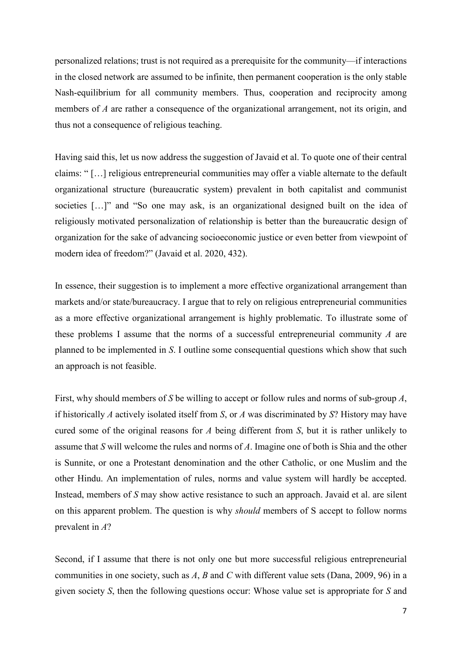personalized relations; trust is not required as a prerequisite for the community—if interactions in the closed network are assumed to be infinite, then permanent cooperation is the only stable Nash-equilibrium for all community members. Thus, cooperation and reciprocity among members of *A* are rather a consequence of the organizational arrangement, not its origin, and thus not a consequence of religious teaching.

Having said this, let us now address the suggestion of Javaid et al. To quote one of their central claims: " […] religious entrepreneurial communities may offer a viable alternate to the default organizational structure (bureaucratic system) prevalent in both capitalist and communist societies […]" and "So one may ask, is an organizational designed built on the idea of religiously motivated personalization of relationship is better than the bureaucratic design of organization for the sake of advancing socioeconomic justice or even better from viewpoint of modern idea of freedom?" (Javaid et al. 2020, 432).

In essence, their suggestion is to implement a more effective organizational arrangement than markets and/or state/bureaucracy. I argue that to rely on religious entrepreneurial communities as a more effective organizational arrangement is highly problematic. To illustrate some of these problems I assume that the norms of a successful entrepreneurial community *A* are planned to be implemented in *S*. I outline some consequential questions which show that such an approach is not feasible.

First, why should members of *S* be willing to accept or follow rules and norms of sub-group *A*, if historically *A* actively isolated itself from *S*, or *A* was discriminated by *S*? History may have cured some of the original reasons for *A* being different from *S*, but it is rather unlikely to assume that *S* will welcome the rules and norms of *A*. Imagine one of both is Shia and the other is Sunnite, or one a Protestant denomination and the other Catholic, or one Muslim and the other Hindu. An implementation of rules, norms and value system will hardly be accepted. Instead, members of *S* may show active resistance to such an approach. Javaid et al. are silent on this apparent problem. The question is why *should* members of S accept to follow norms prevalent in *A*?

Second, if I assume that there is not only one but more successful religious entrepreneurial communities in one society, such as *A*, *B* and *C* with different value sets (Dana, 2009, 96) in a given society *S*, then the following questions occur: Whose value set is appropriate for *S* and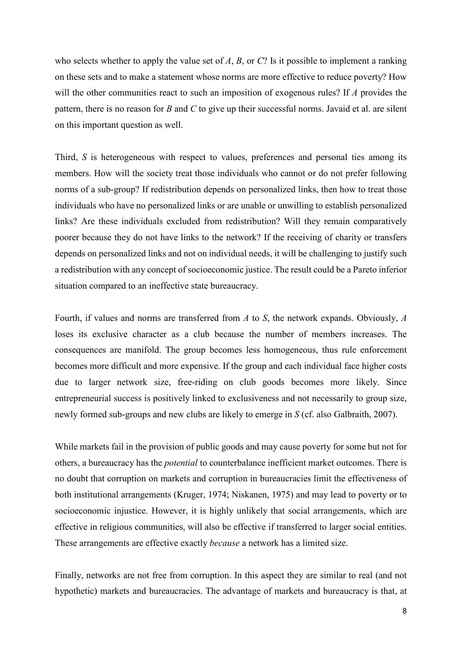who selects whether to apply the value set of *A*, *B*, or *C*? Is it possible to implement a ranking on these sets and to make a statement whose norms are more effective to reduce poverty? How will the other communities react to such an imposition of exogenous rules? If *A* provides the pattern, there is no reason for *B* and *C* to give up their successful norms. Javaid et al. are silent on this important question as well.

Third, *S* is heterogeneous with respect to values, preferences and personal ties among its members. How will the society treat those individuals who cannot or do not prefer following norms of a sub-group? If redistribution depends on personalized links, then how to treat those individuals who have no personalized links or are unable or unwilling to establish personalized links? Are these individuals excluded from redistribution? Will they remain comparatively poorer because they do not have links to the network? If the receiving of charity or transfers depends on personalized links and not on individual needs, it will be challenging to justify such a redistribution with any concept of socioeconomic justice. The result could be a Pareto inferior situation compared to an ineffective state bureaucracy.

Fourth, if values and norms are transferred from *A* to *S*, the network expands. Obviously, *A* loses its exclusive character as a club because the number of members increases. The consequences are manifold. The group becomes less homogeneous, thus rule enforcement becomes more difficult and more expensive. If the group and each individual face higher costs due to larger network size, free-riding on club goods becomes more likely. Since entrepreneurial success is positively linked to exclusiveness and not necessarily to group size, newly formed sub-groups and new clubs are likely to emerge in *S* (cf. also Galbraith, 2007).

While markets fail in the provision of public goods and may cause poverty for some but not for others, a bureaucracy has the *potential* to counterbalance inefficient market outcomes. There is no doubt that corruption on markets and corruption in bureaucracies limit the effectiveness of both institutional arrangements (Kruger, 1974; Niskanen, 1975) and may lead to poverty or to socioeconomic injustice. However, it is highly unlikely that social arrangements, which are effective in religious communities, will also be effective if transferred to larger social entities. These arrangements are effective exactly *because* a network has a limited size.

Finally, networks are not free from corruption. In this aspect they are similar to real (and not hypothetic) markets and bureaucracies. The advantage of markets and bureaucracy is that, at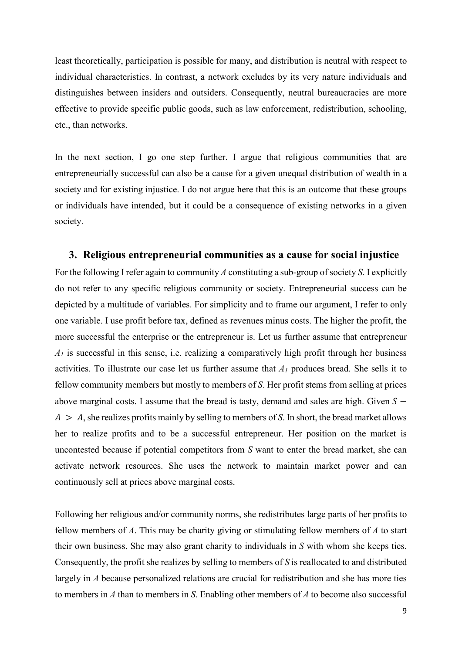least theoretically, participation is possible for many, and distribution is neutral with respect to individual characteristics. In contrast, a network excludes by its very nature individuals and distinguishes between insiders and outsiders. Consequently, neutral bureaucracies are more effective to provide specific public goods, such as law enforcement, redistribution, schooling, etc., than networks.

In the next section, I go one step further. I argue that religious communities that are entrepreneurially successful can also be a cause for a given unequal distribution of wealth in a society and for existing injustice. I do not argue here that this is an outcome that these groups or individuals have intended, but it could be a consequence of existing networks in a given society.

#### **3. Religious entrepreneurial communities as a cause for social injustice**

For the following I refer again to community *A* constituting a sub-group of society *S*. I explicitly do not refer to any specific religious community or society. Entrepreneurial success can be depicted by a multitude of variables. For simplicity and to frame our argument, I refer to only one variable. I use profit before tax, defined as revenues minus costs. The higher the profit, the more successful the enterprise or the entrepreneur is. Let us further assume that entrepreneur  $A<sub>l</sub>$  is successful in this sense, i.e. realizing a comparatively high profit through her business activities. To illustrate our case let us further assume that *A1* produces bread. She sells it to fellow community members but mostly to members of *S*. Her profit stems from selling at prices above marginal costs. I assume that the bread is tasty, demand and sales are high. Given  $S A > A$ , she realizes profits mainly by selling to members of *S*. In short, the bread market allows her to realize profits and to be a successful entrepreneur. Her position on the market is uncontested because if potential competitors from *S* want to enter the bread market, she can activate network resources. She uses the network to maintain market power and can continuously sell at prices above marginal costs.

Following her religious and/or community norms, she redistributes large parts of her profits to fellow members of *A*. This may be charity giving or stimulating fellow members of *A* to start their own business. She may also grant charity to individuals in *S* with whom she keeps ties. Consequently, the profit she realizes by selling to members of *S* is reallocated to and distributed largely in *A* because personalized relations are crucial for redistribution and she has more ties to members in *A* than to members in *S*. Enabling other members of *A* to become also successful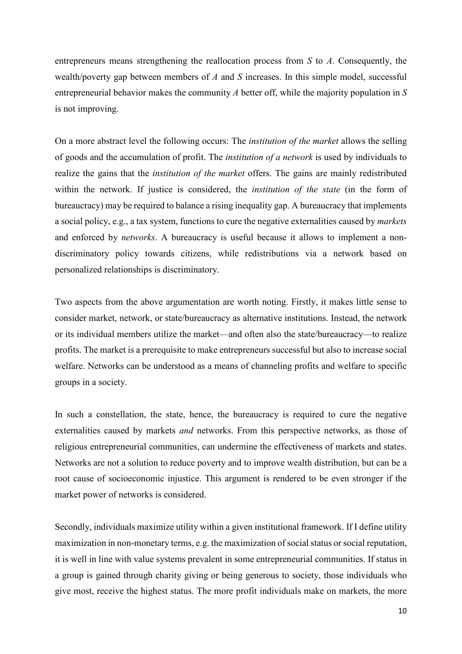entrepreneurs means strengthening the reallocation process from *S* to *A*. Consequently, the wealth/poverty gap between members of *A* and *S* increases. In this simple model, successful entrepreneurial behavior makes the community *A* better off, while the majority population in *S* is not improving.

On a more abstract level the following occurs: The *institution of the market* allows the selling of goods and the accumulation of profit. The *institution of a network* is used by individuals to realize the gains that the *institution of the market* offers. The gains are mainly redistributed within the network. If justice is considered, the *institution of the state* (in the form of bureaucracy) may be required to balance a rising inequality gap. A bureaucracy that implements a social policy, e.g., a tax system, functions to cure the negative externalities caused by *markets* and enforced by *networks*. A bureaucracy is useful because it allows to implement a nondiscriminatory policy towards citizens, while redistributions via a network based on personalized relationships is discriminatory.

Two aspects from the above argumentation are worth noting. Firstly, it makes little sense to consider market, network, or state/bureaucracy as alternative institutions. Instead, the network or its individual members utilize the market—and often also the state/bureaucracy—to realize profits. The market is a prerequisite to make entrepreneurs successful but also to increase social welfare. Networks can be understood as a means of channeling profits and welfare to specific groups in a society.

In such a constellation, the state, hence, the bureaucracy is required to cure the negative externalities caused by markets *and* networks. From this perspective networks, as those of religious entrepreneurial communities, can undermine the effectiveness of markets and states. Networks are not a solution to reduce poverty and to improve wealth distribution, but can be a root cause of socioeconomic injustice. This argument is rendered to be even stronger if the market power of networks is considered.

Secondly, individuals maximize utility within a given institutional framework. If I define utility maximization in non-monetary terms, e.g. the maximization of social status or social reputation, it is well in line with value systems prevalent in some entrepreneurial communities. If status in a group is gained through charity giving or being generous to society, those individuals who give most, receive the highest status. The more profit individuals make on markets, the more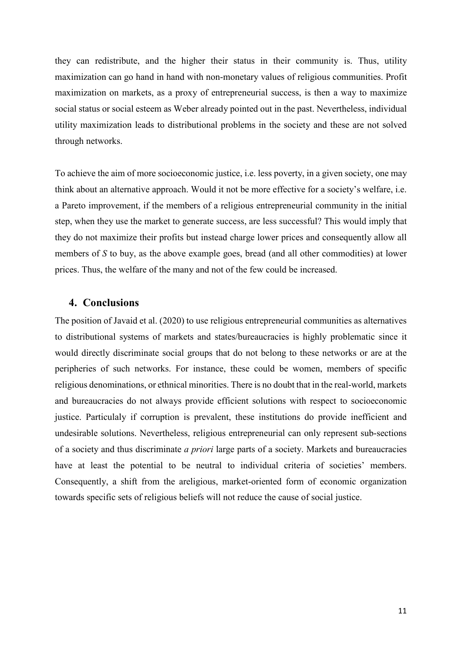they can redistribute, and the higher their status in their community is. Thus, utility maximization can go hand in hand with non-monetary values of religious communities. Profit maximization on markets, as a proxy of entrepreneurial success, is then a way to maximize social status or social esteem as Weber already pointed out in the past. Nevertheless, individual utility maximization leads to distributional problems in the society and these are not solved through networks.

To achieve the aim of more socioeconomic justice, i.e. less poverty, in a given society, one may think about an alternative approach. Would it not be more effective for a society's welfare, i.e. a Pareto improvement, if the members of a religious entrepreneurial community in the initial step, when they use the market to generate success, are less successful? This would imply that they do not maximize their profits but instead charge lower prices and consequently allow all members of *S* to buy, as the above example goes, bread (and all other commodities) at lower prices. Thus, the welfare of the many and not of the few could be increased.

## **4. Conclusions**

The position of Javaid et al. (2020) to use religious entrepreneurial communities as alternatives to distributional systems of markets and states/bureaucracies is highly problematic since it would directly discriminate social groups that do not belong to these networks or are at the peripheries of such networks. For instance, these could be women, members of specific religious denominations, or ethnical minorities. There is no doubt that in the real-world, markets and bureaucracies do not always provide efficient solutions with respect to socioeconomic justice. Particulaly if corruption is prevalent, these institutions do provide inefficient and undesirable solutions. Nevertheless, religious entrepreneurial can only represent sub-sections of a society and thus discriminate *a priori* large parts of a society. Markets and bureaucracies have at least the potential to be neutral to individual criteria of societies' members. Consequently, a shift from the areligious, market-oriented form of economic organization towards specific sets of religious beliefs will not reduce the cause of social justice.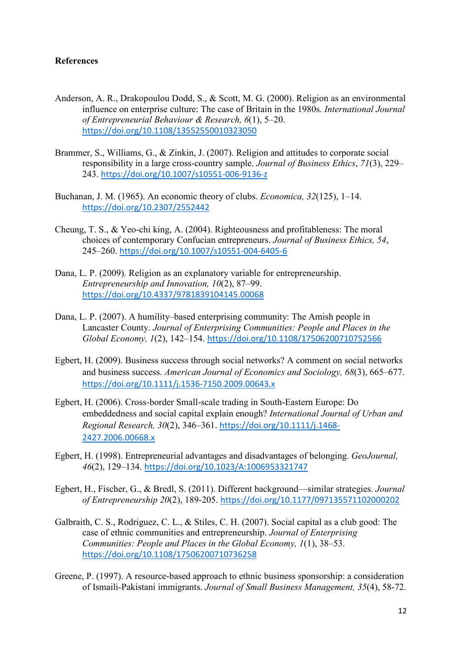#### **References**

- Anderson, A. R., Drakopoulou Dodd, S., & Scott, M. G. (2000). Religion as an environmental influence on enterprise culture: The case of Britain in the 1980s. *International Journal of Entrepreneurial Behaviour & Research, 6*(1), 5–20. <https://doi.org/10.1108/13552550010323050>
- Brammer, S., Williams, G., & Zinkin, J. (2007). Religion and attitudes to corporate social responsibility in a large cross-country sample. *Journal of Business Ethics*, *71*(3), 229– 243. <https://doi.org/10.1007/s10551-006-9136-z>
- Buchanan, J. M. (1965). An economic theory of clubs. *Economica, 32*(125), 1–14. <https://doi.org/10.2307/2552442>
- Cheung, T. S., & Yeo-chi king, A. (2004). Righteousness and profitableness: The moral choices of contemporary Confucian entrepreneurs. *Journal of Business Ethics, 54*, 245–260. <https://doi.org/10.1007/s10551-004-6405-6>
- Dana, L. P. (2009). Religion as an explanatory variable for entrepreneurship. *Entrepreneurship and Innovation, 10*(2), 87–99. <https://doi.org/10.4337/9781839104145.00068>
- Dana, L. P. (2007). A humility–based enterprising community: The Amish people in Lancaster County. *Journal of Enterprising Communities: People and Places in the Global Economy, 1*(2), 142–154. <https://doi.org/10.1108/17506200710752566>
- Egbert, H. (2009). [Business success through social networks? A comment on social networks](https://onlinelibrary.wiley.com/doi/abs/10.1111/j.1536-7150.2009.00643.x)  [and business success.](https://onlinelibrary.wiley.com/doi/abs/10.1111/j.1536-7150.2009.00643.x) *American Journal of Economics and Sociology, 68*(3), 665–677. <https://doi.org/10.1111/j.1536-7150.2009.00643.x>
- Egbert, H. (2006). Cross-border Small-scale trading in South-Eastern Europe: Do embeddedness and social capital explain enough? *International Journal of Urban and Regional Research, 30*(2), 346–361. [https://doi.org/10.1111/j.1468-](https://doi.org/10.1111/j.1468-2427.2006.00668.x) [2427.2006.00668.x](https://doi.org/10.1111/j.1468-2427.2006.00668.x)
- Egbert, H. (1998). Entrepreneurial advantages and disadvantages of belonging. *GeoJournal, 46*(2), 129–134. <https://doi.org/10.1023/A:1006953321747>
- Egbert, H., Fischer, G., & Bredl, S. (2011). Different background—similar strategies. *Journal of Entrepreneurship 20*(2), 189-205. [https://doi.org/10.1177/097135571102000202](https://doi.org/10.1177%2F097135571102000202)
- Galbraith, C. S., Rodriguez, C. L., & Stiles, C. H. (2007). Social capital as a club good: The case of ethnic communities and entrepreneurship. *Journal of Enterprising Communities: People and Places in the Global Economy, 1*(1), 38–53. <https://doi.org/10.1108/17506200710736258>
- Greene, P. (1997). A resource-based approach to ethnic business sponsorship: a consideration of Ismaili-Pakistani immigrants. *Journal of Small Business Management, 35*(4), 58-72.